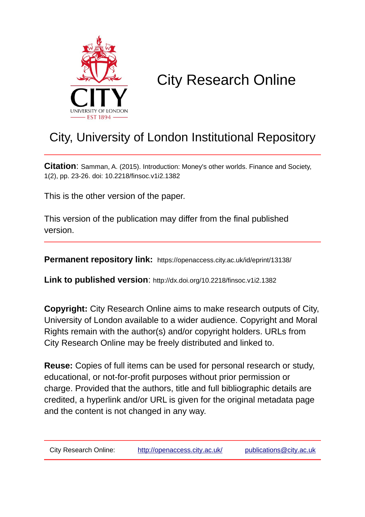

# City Research Online

## City, University of London Institutional Repository

**Citation**: Samman, A. (2015). Introduction: Money's other worlds. Finance and Society, 1(2), pp. 23-26. doi: 10.2218/finsoc.v1i2.1382

This is the other version of the paper.

This version of the publication may differ from the final published version.

**Permanent repository link:** https://openaccess.city.ac.uk/id/eprint/13138/

**Link to published version**: http://dx.doi.org/10.2218/finsoc.v1i2.1382

**Copyright:** City Research Online aims to make research outputs of City, University of London available to a wider audience. Copyright and Moral Rights remain with the author(s) and/or copyright holders. URLs from City Research Online may be freely distributed and linked to.

**Reuse:** Copies of full items can be used for personal research or study, educational, or not-for-profit purposes without prior permission or charge. Provided that the authors, title and full bibliographic details are credited, a hyperlink and/or URL is given for the original metadata page and the content is not changed in any way.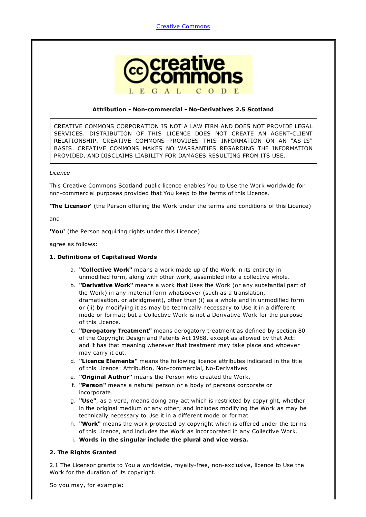

#### Attribution - Non-commercial - No-Derivatives 2.5 Scotland

CREATIVE COMMONS CORPORATION IS NOT A LAW FIRM AND DOES NOT PROVIDE LEGAL SERVICES. DISTRIBUTION OF THIS LICENCE DOES NOT CREATE AN AGENT-CLIENT RELATIONSHIP. CREATIVE COMMONS PROVIDES THIS INFORMATION ON AN "AS-IS" BASIS. CREATIVE COMMONS MAKES NO WARRANTIES REGARDING THE INFORMATION PROVIDED, AND DISCLAIMS LIABILITY FOR DAMAGES RESULTING FROM ITS USE.

#### *Licence*

This Creative Commons Scotland public licence enables You to Use the Work worldwide for non-commercial purposes provided that You keep to the terms of this Licence.

**The Licensor'** (the Person offering the Work under the terms and conditions of this Licence)

and

'You' (the Person acquiring rights under this Licence)

agree as follows:

#### 1. Definitions of Capitalised Words

- a. "Collective Work" means a work made up of the Work in its entirety in unmodified form, along with other work, assembled into a collective whole.
- b. "Derivative Work" means a work that Uses the Work (or any substantial part of the Work) in any material form whatsoever (such as a translation, dramatisation, or abridgment), other than (i) as a whole and in unmodified form or (ii) by modifying it as may be technically necessary to Use it in a different mode or format; but a Collective Work is not a Derivative Work for the purpose of this Licence.
- c. "Derogatory Treatment" means derogatory treatment as defined by section 80 of the Copyright Design and Patents Act 1988, except as allowed by that Act: and it has that meaning wherever that treatment may take place and whoever may carry it out.
- d. "Licence Elements" means the following licence attributes indicated in the title of this Licence: Attribution, Non-commercial, No-Derivatives.
- e. "Original Author" means the Person who created the Work.
- f. "Person" means a natural person or a body of persons corporate or incorporate.
- g. "Use", as a verb, means doing any act which is restricted by copyright, whether in the original medium or any other; and includes modifying the Work as may be technically necessary to Use it in a different mode or format.
- h. "Work" means the work protected by copyright which is offered under the terms of this Licence, and includes the Work as incorporated in any Collective Work.
- i. Words in the singular include the plural and vice versa.

### 2. The Rights Granted

2.1 The Licensor grants to You a worldwide, royalty-free, non-exclusive, licence to Use the Work for the duration of its copyright.

So you may, for example: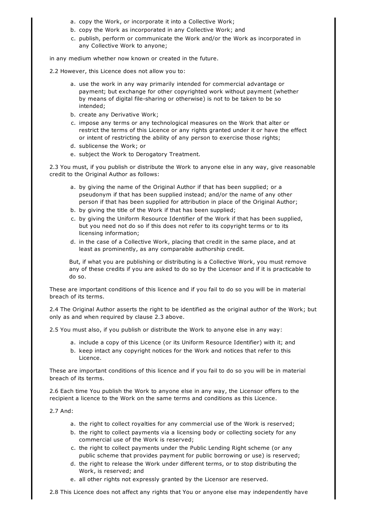- a. copy the Work, or incorporate it into a Collective Work;
- b. copy the Work as incorporated in any Collective Work; and
- c. publish, perform or communicate the Work and/or the Work as incorporated in any Collective Work to anyone;

in any medium whether now known or created in the future.

- 2.2 However, this Licence does not allow you to:
	- a. use the work in any way primarily intended for commercial advantage or payment; but exchange for other copyrighted work without payment (whether by means of digital file-sharing or otherwise) is not to be taken to be so intended;
	- b. create any Derivative Work;
	- c. impose any terms or any technological measures on the Work that alter or restrict the terms of this Licence or any rights granted under it or have the effect or intent of restricting the ability of any person to exercise those rights;
	- d. sublicense the Work; or
	- e. subject the Work to Derogatory Treatment.

2.3 You must, if you publish or distribute the Work to anyone else in any way, give reasonable credit to the Original Author as follows:

- a. by giving the name of the Original Author if that has been supplied; or a pseudonym if that has been supplied instead; and/or the name of any other person if that has been supplied for attribution in place of the Original Author;
- b. by giving the title of the Work if that has been supplied;
- c. by giving the Uniform Resource Identifier of the Work if that has been supplied, but you need not do so if this does not refer to its copyright terms or to its licensing information;
- d. in the case of a Collective Work, placing that credit in the same place, and at least as prominently, as any comparable authorship credit.

But, if what you are publishing or distributing is a Collective Work, you must remove any of these credits if you are asked to do so by the Licensor and if it is practicable to do so.

These are important conditions of this licence and if you fail to do so you will be in material breach of its terms.

2.4 The Original Author asserts the right to be identified as the original author of the Work; but only as and when required by clause 2.3 above.

2.5 You must also, if you publish or distribute the Work to anyone else in any way:

- a. include a copy of this Licence (or its Uniform Resource Identifier) with it; and
- b. keep intact any copyright notices for the Work and notices that refer to this Licence.

These are important conditions of this licence and if you fail to do so you will be in material breach of its terms.

2.6 Each time You publish the Work to anyone else in any way, the Licensor offers to the recipient a licence to the Work on the same terms and conditions as this Licence.

2.7 And:

- a. the right to collect royalties for any commercial use of the Work is reserved;
- b. the right to collect payments via a licensing body or collecting society for any commercial use of the Work is reserved;
- c. the right to collect payments under the Public Lending Right scheme (or any public scheme that provides payment for public borrowing or use) is reserved;
- d. the right to release the Work under different terms, or to stop distributing the Work, is reserved; and
- e. all other rights not expressly granted by the Licensor are reserved.

2.8 This Licence does not affect any rights that You or anyone else may independently have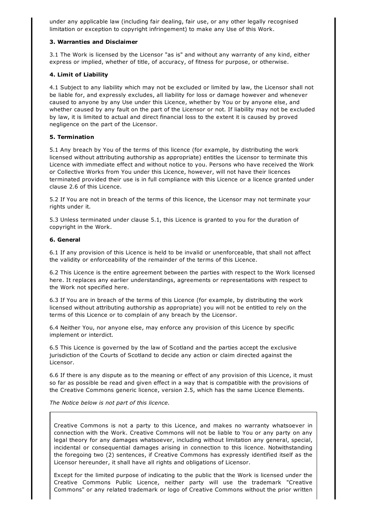under any applicable law (including fair dealing, fair use, or any other legally recognised limitation or exception to copyright infringement) to make any Use of this Work.

### 3. Warranties and Disclaimer

3.1 The Work is licensed by the Licensor "as is" and without any warranty of any kind, either express or implied, whether of title, of accuracy, of fitness for purpose, or otherwise.

#### 4. Limit of Liability

4.1 Subject to any liability which may not be excluded or limited by law, the Licensor shall not be liable for, and expressly excludes, all liability for loss or damage however and whenever caused to anyone by any Use under this Licence, whether by You or by anyone else, and whether caused by any fault on the part of the Licensor or not. If liability may not be excluded by law, it is limited to actual and direct financial loss to the extent it is caused by proved negligence on the part of the Licensor.

### 5. Termination

5.1 Any breach by You of the terms of this licence (for example, by distributing the work licensed without attributing authorship as appropriate) entitles the Licensor to terminate this Licence with immediate effect and without notice to you. Persons who have received the Work or Collective Works from You under this Licence, however, will not have their licences terminated provided their use is in full compliance with this Licence or a licence granted under clause 2.6 of this Licence.

5.2 If You are not in breach of the terms of this licence, the Licensor may not terminate your rights under it.

5.3 Unless terminated under clause 5.1, this Licence is granted to you for the duration of copyright in the Work.

#### 6. General

6.1 If any provision of this Licence is held to be invalid or unenforceable, that shall not affect the validity or enforceability of the remainder of the terms of this Licence.

6.2 This Licence is the entire agreement between the parties with respect to the Work licensed here. It replaces any earlier understandings, agreements or representations with respect to the Work not specified here.

6.3 If You are in breach of the terms of this Licence (for example, by distributing the work licensed without attributing authorship as appropriate) you will not be entitled to rely on the terms of this Licence or to complain of any breach by the Licensor.

6.4 Neither You, nor anyone else, may enforce any provision of this Licence by specific implement or interdict.

6.5 This Licence is governed by the law of Scotland and the parties accept the exclusive jurisdiction of the Courts of Scotland to decide any action or claim directed against the Licensor.

6.6 If there is any dispute as to the meaning or effect of any provision of this Licence, it must so far as possible be read and given effect in a way that is compatible with the provisions of the Creative Commons generic licence, version 2.5, which has the same Licence Elements.

*The Notice below is not part of this licence.*

Creative Commons is not a party to this Licence, and makes no warranty whatsoever in connection with the Work. Creative Commons will not be liable to You or any party on any legal theory for any damages whatsoever, including without limitation any general, special, incidental or consequential damages arising in connection to this licence. Notwithstanding the foregoing two (2) sentences, if Creative Commons has expressly identified itself as the Licensor hereunder, it shall have all rights and obligations of Licensor.

Except for the limited purpose of indicating to the public that the Work is licensed under the Creative Commons Public Licence, neither party will use the trademark "Creative Commons" or any related trademark or logo of Creative Commons without the prior written